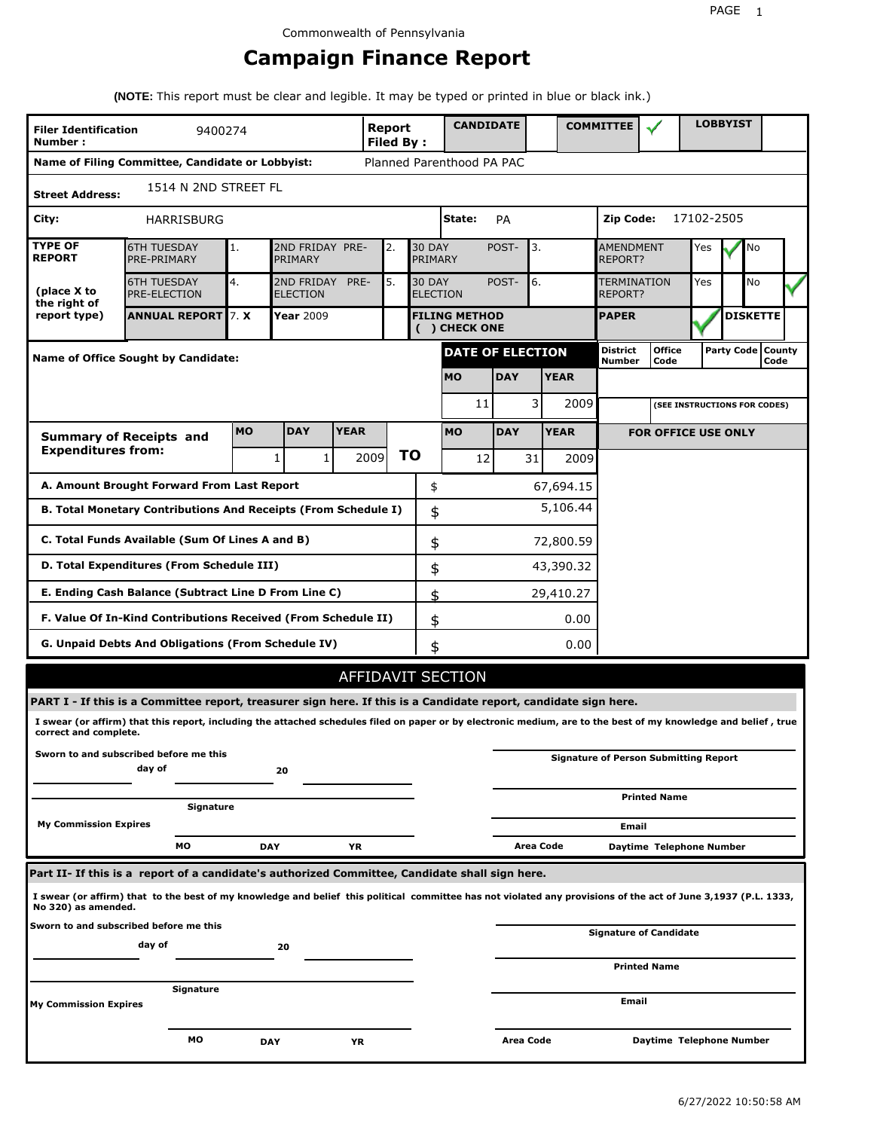## **Campaign Finance Report**

**(NOTE:** This report must be clear and legible. It may be typed or printed in blue or black ink.)

| <b>Filer Identification</b><br>Number: | 9400274                                                                                                                                                         |           |                                                    |             | <b>Report</b><br><b>Filed By:</b> |               | <b>CANDIDATE</b>                                |            |           |              | <b>COMMITTEE</b>            |                                              |            | <b>LOBBYIST</b>     |           |  |
|----------------------------------------|-----------------------------------------------------------------------------------------------------------------------------------------------------------------|-----------|----------------------------------------------------|-------------|-----------------------------------|---------------|-------------------------------------------------|------------|-----------|--------------|-----------------------------|----------------------------------------------|------------|---------------------|-----------|--|
|                                        | Name of Filing Committee, Candidate or Lobbyist:                                                                                                                |           |                                                    |             |                                   |               | Planned Parenthood PA PAC                       |            |           |              |                             |                                              |            |                     |           |  |
| <b>Street Address:</b>                 | 1514 N 2ND STREET FL                                                                                                                                            |           |                                                    |             |                                   |               |                                                 |            |           |              |                             |                                              |            |                     |           |  |
| City:                                  | HARRISBURG                                                                                                                                                      |           |                                                    |             |                                   |               | State:                                          | PA         |           |              | Zip Code:                   |                                              | 17102-2505 |                     |           |  |
| <b>TYPE OF</b><br><b>REPORT</b>        | <b>6TH TUESDAY</b><br>PRE-PRIMARY                                                                                                                               | 1.        | 2ND FRIDAY PRE-<br>PRIMARY                         |             | 2.                                | <b>30 DAY</b> | PRIMARY                                         | POST-      | 3.        |              | <b>AMENDMENT</b><br>REPORT? |                                              | Yes        |                     | No        |  |
| (place X to<br>the right of            | <b>6TH TUESDAY</b><br><b>PRE-ELECTION</b>                                                                                                                       | 4.        | 2ND FRIDAY<br><b>ELECTION</b>                      | PRE-        | 5.                                |               | <b>30 DAY</b><br>6.<br>POST-<br><b>ELECTION</b> |            |           |              |                             | TERMINATION<br>REPORT?                       |            |                     | <b>No</b> |  |
| report type)                           | <b>ANNUAL REPORT 7. X</b>                                                                                                                                       |           | Year 2009<br><b>FILING METHOD</b><br>( ) CHECK ONE |             |                                   |               |                                                 |            |           | <b>PAPER</b> |                             |                                              |            | <b>DISKETTE</b>     |           |  |
|                                        | Name of Office Sought by Candidate:                                                                                                                             |           |                                                    |             |                                   |               | <b>DATE OF ELECTION</b>                         |            |           |              | <b>District</b><br>Number   | <b>Office</b><br>Code                        |            | Party Code   County | Code      |  |
|                                        |                                                                                                                                                                 |           |                                                    |             |                                   |               | <b>MO</b>                                       | <b>DAY</b> |           | <b>YEAR</b>  |                             |                                              |            |                     |           |  |
|                                        |                                                                                                                                                                 |           |                                                    |             |                                   |               | 11                                              |            | 3         | 2009         |                             | (SEE INSTRUCTIONS FOR CODES)                 |            |                     |           |  |
|                                        | <b>Summary of Receipts and</b>                                                                                                                                  | <b>MO</b> | <b>DAY</b>                                         | <b>YEAR</b> |                                   |               | <b>MO</b>                                       | <b>DAY</b> |           | <b>YEAR</b>  |                             | <b>FOR OFFICE USE ONLY</b>                   |            |                     |           |  |
| <b>Expenditures from:</b>              |                                                                                                                                                                 |           | 1<br>$\mathbf{1}$                                  |             | 2009                              | <b>TO</b>     | 12                                              |            | 31        | 2009         |                             |                                              |            |                     |           |  |
|                                        | A. Amount Brought Forward From Last Report                                                                                                                      |           |                                                    |             |                                   | \$            |                                                 |            |           | 67,694.15    |                             |                                              |            |                     |           |  |
|                                        | B. Total Monetary Contributions And Receipts (From Schedule I)                                                                                                  |           |                                                    |             |                                   |               | \$                                              |            |           | 5,106.44     |                             |                                              |            |                     |           |  |
|                                        | C. Total Funds Available (Sum Of Lines A and B)                                                                                                                 |           |                                                    |             |                                   |               | \$                                              |            |           | 72,800.59    |                             |                                              |            |                     |           |  |
|                                        | D. Total Expenditures (From Schedule III)                                                                                                                       |           |                                                    |             |                                   |               | \$                                              |            |           | 43,390.32    |                             |                                              |            |                     |           |  |
|                                        | E. Ending Cash Balance (Subtract Line D From Line C)                                                                                                            |           |                                                    |             |                                   |               | \$                                              |            |           | 29,410.27    |                             |                                              |            |                     |           |  |
|                                        | F. Value Of In-Kind Contributions Received (From Schedule II)                                                                                                   |           |                                                    |             |                                   |               | \$<br>0.00                                      |            |           |              |                             |                                              |            |                     |           |  |
|                                        | G. Unpaid Debts And Obligations (From Schedule IV)                                                                                                              |           |                                                    |             |                                   |               | \$                                              |            |           | 0.00         |                             |                                              |            |                     |           |  |
|                                        |                                                                                                                                                                 |           |                                                    |             |                                   |               | AFFIDAVIT SECTION                               |            |           |              |                             |                                              |            |                     |           |  |
|                                        | PART I - If this is a Committee report, treasurer sign here. If this is a Candidate report, candidate sign here.                                                |           |                                                    |             |                                   |               |                                                 |            |           |              |                             |                                              |            |                     |           |  |
| correct and complete.                  | I swear (or affirm) that this report, including the attached schedules filed on paper or by electronic medium, are to the best of my knowledge and belief, true |           |                                                    |             |                                   |               |                                                 |            |           |              |                             |                                              |            |                     |           |  |
|                                        | Sworn to and subscribed before me this<br>day of                                                                                                                |           | 20                                                 |             |                                   |               |                                                 |            |           |              |                             | <b>Signature of Person Submitting Report</b> |            |                     |           |  |
|                                        | Signature                                                                                                                                                       |           |                                                    |             |                                   |               |                                                 |            |           |              |                             | <b>Printed Name</b>                          |            |                     |           |  |
| <b>My Commission Expires</b>           |                                                                                                                                                                 |           |                                                    |             |                                   |               |                                                 |            |           |              | Email                       |                                              |            |                     |           |  |
|                                        | МO                                                                                                                                                              |           | <b>DAY</b>                                         | YR          |                                   |               |                                                 |            | Area Code |              |                             | Daytime Telephone Number                     |            |                     |           |  |
|                                        | Part II- If this is a report of a candidate's authorized Committee, Candidate shall sign here.                                                                  |           |                                                    |             |                                   |               |                                                 |            |           |              |                             |                                              |            |                     |           |  |
| No 320) as amended.                    | I swear (or affirm) that to the best of my knowledge and belief this political committee has not violated any provisions of the act of June 3,1937 (P.L. 1333,  |           |                                                    |             |                                   |               |                                                 |            |           |              |                             |                                              |            |                     |           |  |
|                                        | Sworn to and subscribed before me this<br>day of                                                                                                                |           | 20                                                 |             |                                   |               |                                                 |            |           |              |                             | <b>Signature of Candidate</b>                |            |                     |           |  |
|                                        |                                                                                                                                                                 |           |                                                    |             |                                   |               |                                                 |            |           |              |                             | <b>Printed Name</b>                          |            |                     |           |  |
| <b>My Commission Expires</b>           | Signature                                                                                                                                                       |           |                                                    |             |                                   |               |                                                 |            |           |              | Email                       |                                              |            |                     |           |  |
|                                        | мo                                                                                                                                                              |           | DAY                                                | YR          |                                   |               |                                                 | Area Code  |           |              |                             | Daytime Telephone Number                     |            |                     |           |  |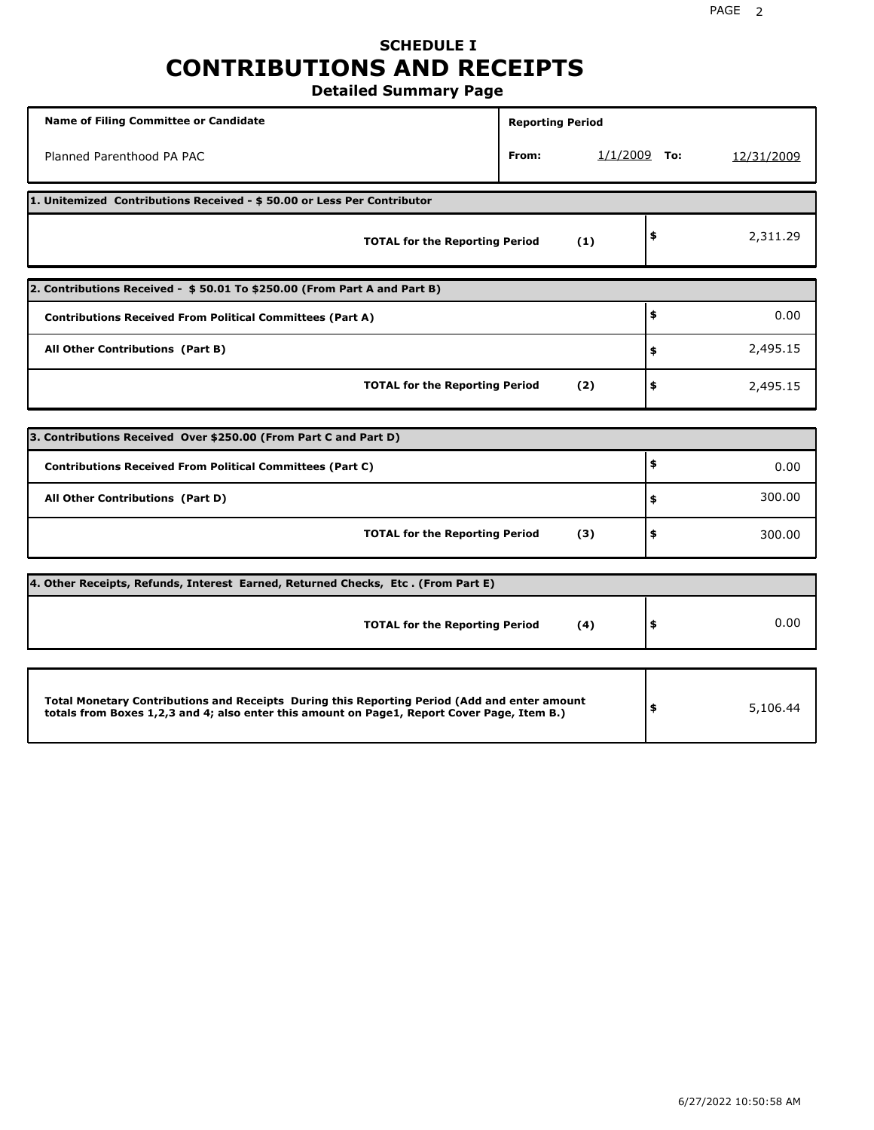### **SCHEDULE I CONTRIBUTIONS AND RECEIPTS Detailed Summary Page**

**Name of Filing Committee or Candidate Reporting Period Reporting Period** Planned Parenthood PA PAC **From:** 1/1/2009 **To:** 12/31/2009 **1. Unitemized Contributions Received - \$ 50.00 or Less Per Contributor TOTAL for the Reporting Period (1) \$** 2,311.29 **2. Contributions Received - \$ 50.01 To \$250.00 (From Part A and Part B) TOTAL for the Reporting Period (2) Contributions Received From Political Committees (Part A) All Other Contributions (Part B) \$ \$ \$** 0.00 2,495.15 2,495.15 **3. Contributions Received Over \$250.00 (From Part C and Part D) TOTAL for the Reporting Period (3) Contributions Received From Political Committees (Part C) All Other Contributions (Part D) \$ \$ \$** 0.00 300.00 300.00 **4. Other Receipts, Refunds, Interest Earned, Returned Checks, Etc . (From Part E) TOTAL for the Reporting Period (4) \$** 0.00 **Total Monetary Contributions and Receipts During this Reporting Period (Add and enter amount totals from Boxes 1,2,3 and 4; also enter this amount on Page1, Report Cover Page, Item B.) \$** 5,106.44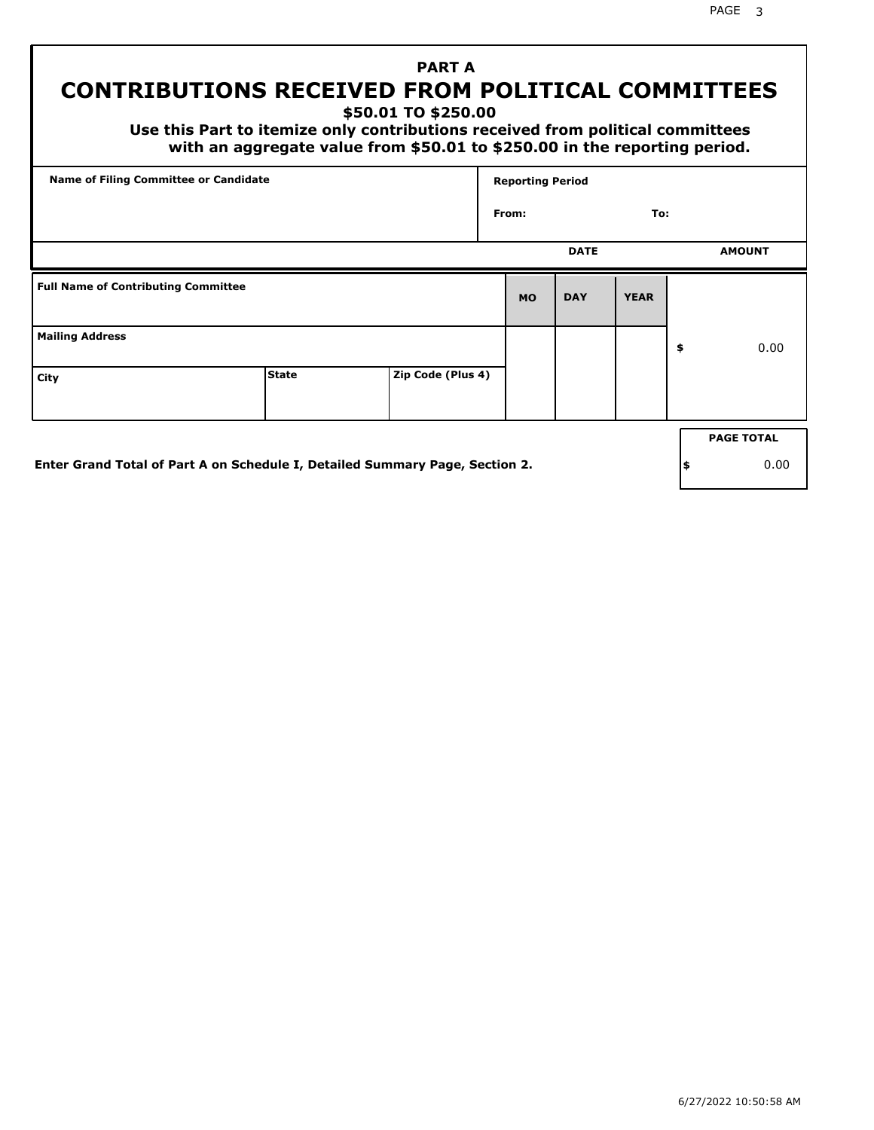PAGE 3

## **PART A CONTRIBUTIONS RECEIVED FROM POLITICAL COMMITTEES**

**\$50.01 TO \$250.00**

 **Use this Part to itemize only contributions received from political committees with an aggregate value from \$50.01 to \$250.00 in the reporting period.**

| Name of Filing Committee or Candidate      |                                                                              |                   | <b>Reporting Period</b> |             |             |     |                   |
|--------------------------------------------|------------------------------------------------------------------------------|-------------------|-------------------------|-------------|-------------|-----|-------------------|
|                                            |                                                                              |                   | From:                   |             | To:         |     |                   |
|                                            |                                                                              |                   |                         | <b>DATE</b> |             |     | <b>AMOUNT</b>     |
| <b>Full Name of Contributing Committee</b> |                                                                              |                   | <b>MO</b>               | <b>DAY</b>  | <b>YEAR</b> |     |                   |
| <b>Mailing Address</b>                     |                                                                              |                   |                         |             |             | \$  | 0.00              |
| City                                       | <b>State</b>                                                                 | Zip Code (Plus 4) |                         |             |             |     |                   |
|                                            |                                                                              |                   |                         |             |             |     | <b>PAGE TOTAL</b> |
|                                            | Enter Grand Total of Part A on Schedule I, Detailed Summary Page, Section 2. |                   |                         |             |             | ∣\$ | 0.00              |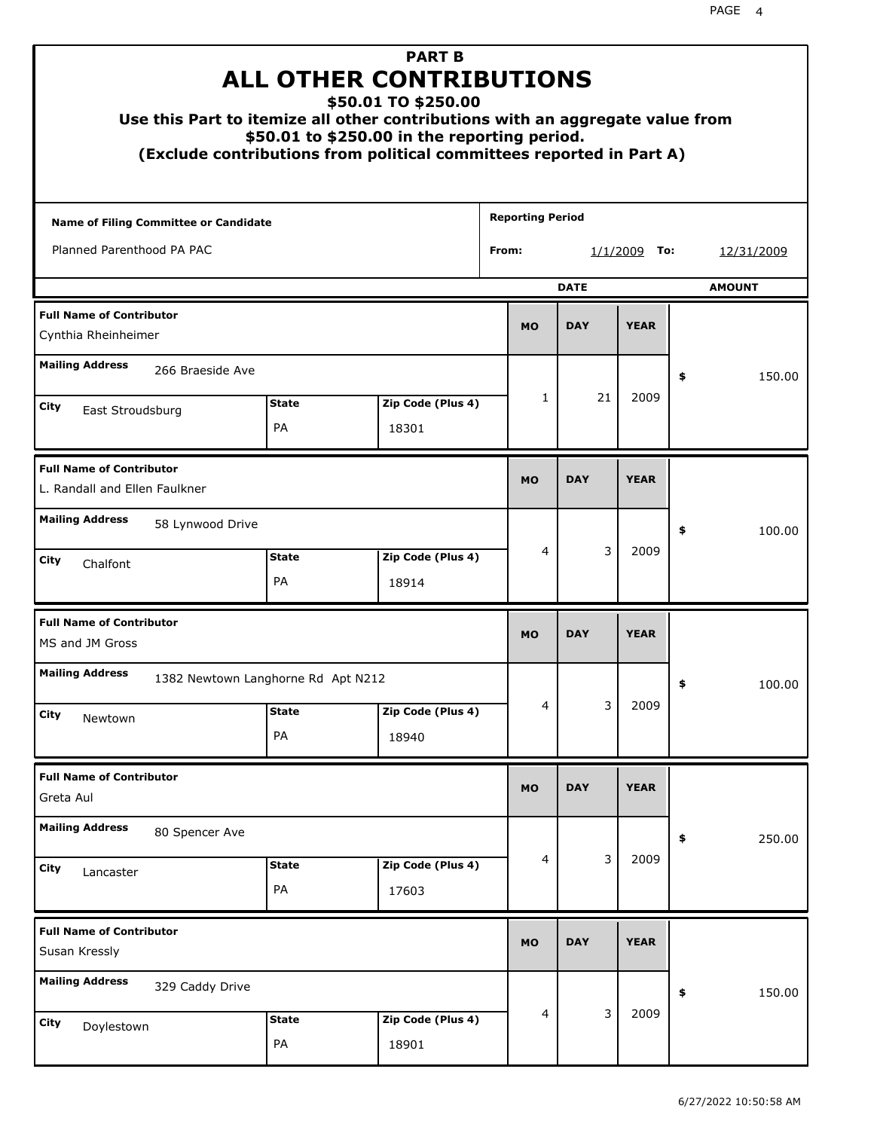| Use this Part to itemize all other contributions with an aggregate value from<br>(Exclude contributions from political committees reported in Part A) | <b>ALL OTHER CONTRIBUTIONS</b><br>\$50.01 to \$250.00 in the reporting period. | <b>PART B</b><br>\$50.01 TO \$250.00 |            |                                 |            |             |    |            |
|-------------------------------------------------------------------------------------------------------------------------------------------------------|--------------------------------------------------------------------------------|--------------------------------------|------------|---------------------------------|------------|-------------|----|------------|
| Name of Filing Committee or Candidate                                                                                                                 |                                                                                |                                      |            | <b>Reporting Period</b>         |            |             |    |            |
| Planned Parenthood PA PAC                                                                                                                             |                                                                                |                                      |            | From:<br><u>1/1/2009</u><br>To: |            |             |    | 12/31/2009 |
| <b>DATE</b><br><b>AMOUNT</b>                                                                                                                          |                                                                                |                                      |            |                                 |            |             |    |            |
| <b>Full Name of Contributor</b><br>Cynthia Rheinheimer                                                                                                |                                                                                |                                      |            |                                 |            |             |    |            |
| <b>Mailing Address</b><br>266 Braeside Ave                                                                                                            |                                                                                |                                      |            |                                 |            |             | \$ | 150.00     |
| City                                                                                                                                                  |                                                                                | 1                                    | 21         | 2009                            |            |             |    |            |
| East Stroudsburg                                                                                                                                      | <b>State</b><br>PA                                                             | Zip Code (Plus 4)<br>18301           |            |                                 |            |             |    |            |
| <b>Full Name of Contributor</b><br>L. Randall and Ellen Faulkner                                                                                      |                                                                                | <b>MO</b>                            | <b>DAY</b> | <b>YEAR</b>                     |            |             |    |            |
| <b>Mailing Address</b><br>58 Lynwood Drive                                                                                                            |                                                                                |                                      |            |                                 |            |             | \$ | 100.00     |
| City<br>Chalfont                                                                                                                                      | <b>State</b><br><b>PA</b>                                                      | Zip Code (Plus 4)<br>18914           |            | 4                               | 3          | 2009        |    |            |
| <b>Full Name of Contributor</b><br>MS and JM Gross                                                                                                    |                                                                                |                                      |            | <b>MO</b>                       | <b>DAY</b> | <b>YEAR</b> |    |            |
| <b>Mailing Address</b><br>1382 Newtown Langhorne Rd Apt N212                                                                                          |                                                                                |                                      |            |                                 |            |             | Ş  | 100.00     |
| City<br>Newtown                                                                                                                                       | <b>State</b><br>PA                                                             | Zip Code (Plus 4)<br>18940           |            | 4                               | 3          | 2009        |    |            |
| <b>Full Name of Contributor</b><br>Greta Aul                                                                                                          |                                                                                |                                      |            | <b>MO</b>                       | <b>DAY</b> | <b>YEAR</b> |    |            |
| <b>Mailing Address</b><br>80 Spencer Ave                                                                                                              |                                                                                |                                      |            |                                 |            |             | \$ | 250.00     |
| City<br>Lancaster                                                                                                                                     | Zip Code (Plus 4)<br><b>State</b><br>PA<br>17603                               |                                      |            |                                 |            |             |    |            |
| <b>Full Name of Contributor</b><br>Susan Kressly                                                                                                      |                                                                                |                                      |            | <b>MO</b>                       | <b>DAY</b> | <b>YEAR</b> |    |            |
| <b>Mailing Address</b><br>329 Caddy Drive                                                                                                             |                                                                                |                                      |            |                                 | \$         | 150.00      |    |            |
| City<br>Doylestown                                                                                                                                    | <b>State</b><br>PA                                                             | Zip Code (Plus 4)<br>18901           |            | 4                               | 3          | 2009        |    |            |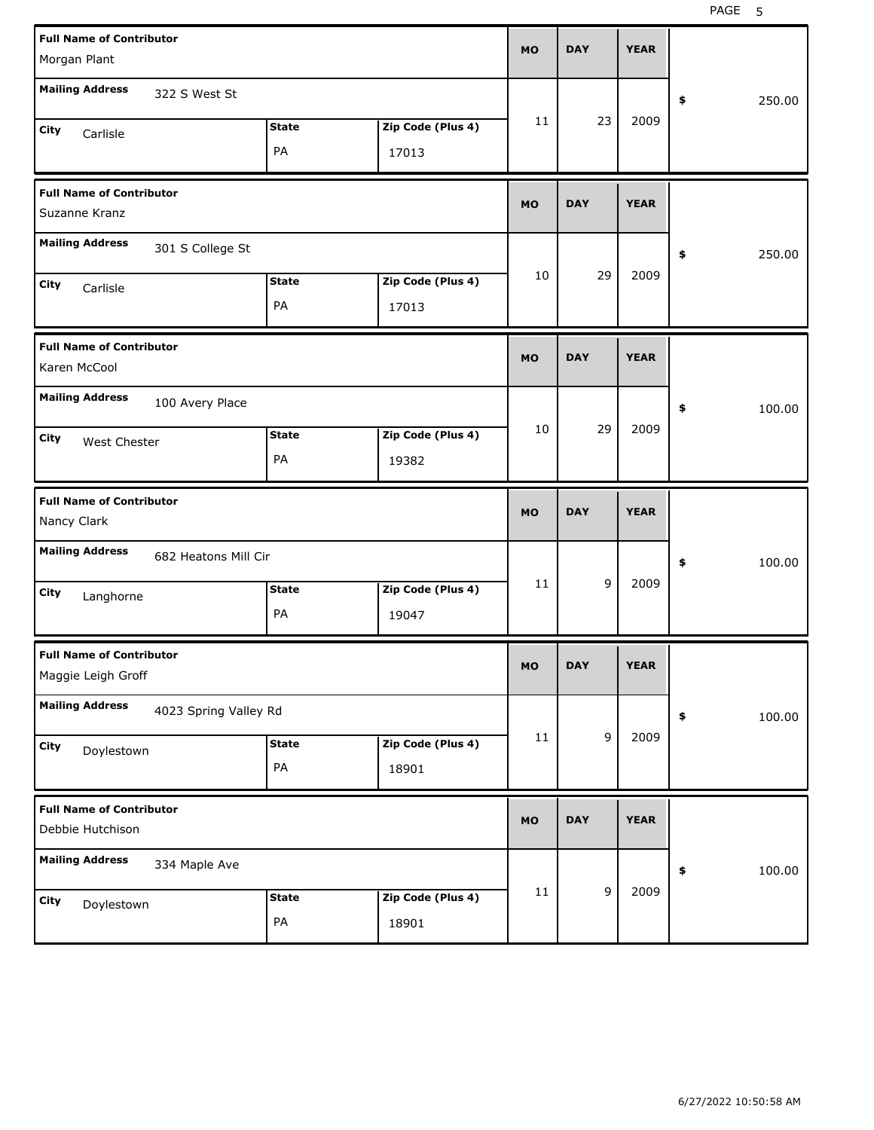| <b>Full Name of Contributor</b><br>Morgan Plant                                                                       | <b>MO</b> | <b>DAY</b> | <b>YEAR</b> |              |
|-----------------------------------------------------------------------------------------------------------------------|-----------|------------|-------------|--------------|
| <b>Mailing Address</b><br>322 S West St                                                                               |           |            |             | 250.00<br>\$ |
| Zip Code (Plus 4)<br><b>State</b><br>City<br>Carlisle<br>PA<br>17013                                                  | 11        | 23         | 2009        |              |
| <b>Full Name of Contributor</b><br>Suzanne Kranz                                                                      | <b>MO</b> | <b>DAY</b> | <b>YEAR</b> |              |
| <b>Mailing Address</b><br>301 S College St                                                                            |           |            |             | 250.00<br>\$ |
| Zip Code (Plus 4)<br><b>State</b><br>City<br>Carlisle<br>PA<br>17013                                                  | 10        | 29         | 2009        |              |
| <b>Full Name of Contributor</b><br>Karen McCool                                                                       | <b>MO</b> | <b>DAY</b> | <b>YEAR</b> |              |
| <b>Mailing Address</b><br>100 Avery Place<br>Zip Code (Plus 4)<br><b>State</b><br>City<br>West Chester<br>PA<br>19382 | 10        | 29         | 2009        | 100.00<br>\$ |
|                                                                                                                       |           |            |             |              |
| <b>Full Name of Contributor</b><br>Nancy Clark                                                                        | <b>MO</b> | <b>DAY</b> | <b>YEAR</b> |              |
| <b>Mailing Address</b><br>682 Heatons Mill Cir                                                                        |           |            |             | 100.00<br>\$ |
| Zip Code (Plus 4)<br><b>State</b><br>City<br>Langhorne<br>PA<br>19047                                                 | 11        | 9          | 2009        |              |
| <b>Full Name of Contributor</b><br>Maggie Leigh Groff                                                                 | <b>MO</b> | <b>DAY</b> | <b>YEAR</b> |              |
| <b>Mailing Address</b><br>4023 Spring Valley Rd                                                                       |           |            |             | \$<br>100.00 |
| Zip Code (Plus 4)<br><b>State</b><br>City<br>Doylestown<br>$\mathsf{PA}$<br>18901                                     | 11        | 9          | 2009        |              |
| <b>Full Name of Contributor</b><br>Debbie Hutchison                                                                   | <b>MO</b> | <b>DAY</b> | <b>YEAR</b> |              |
| <b>Mailing Address</b><br>334 Maple Ave                                                                               | 11        | 9          | 2009        | 100.00<br>\$ |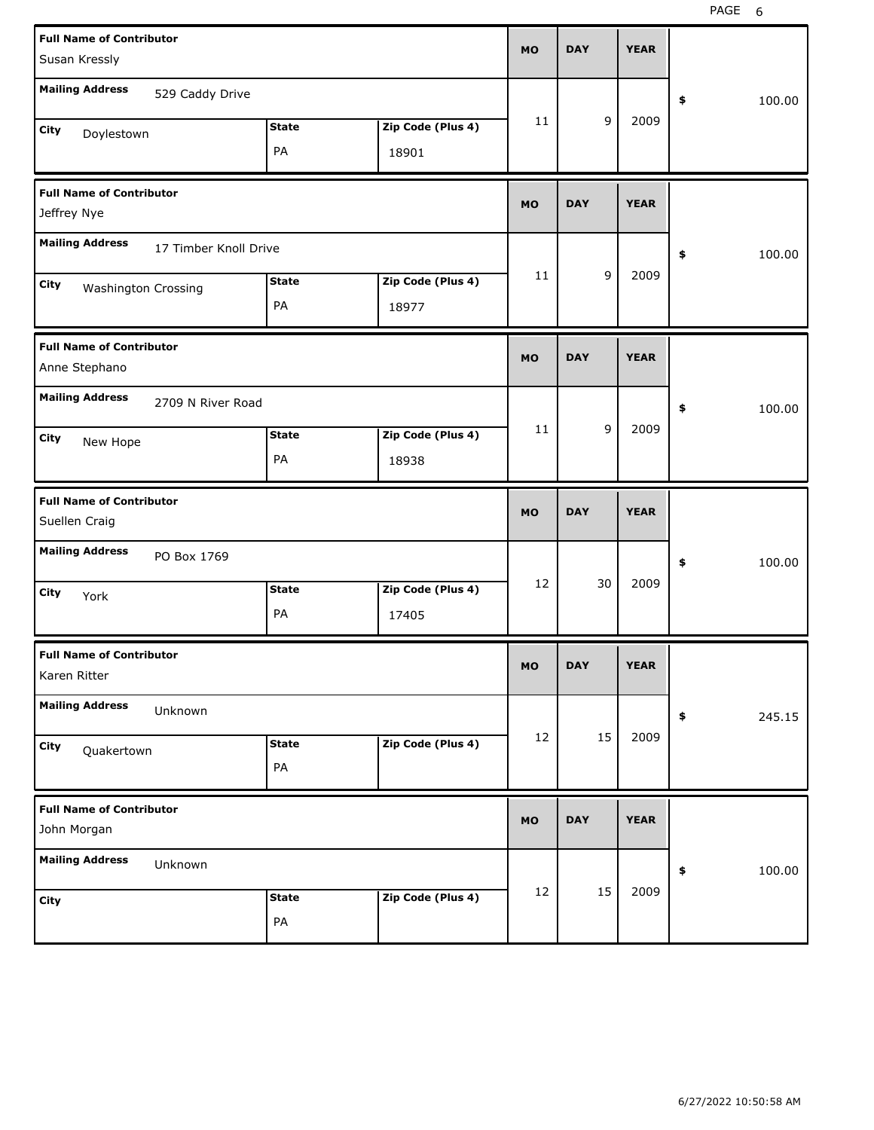| <b>Full Name of Contributor</b><br>Susan Kressly |                    |                            | <b>MO</b>  | <b>DAY</b>  | <b>YEAR</b> |              |
|--------------------------------------------------|--------------------|----------------------------|------------|-------------|-------------|--------------|
| <b>Mailing Address</b><br>529 Caddy Drive        |                    |                            |            |             |             | \$<br>100.00 |
| City<br>Doylestown                               | <b>State</b><br>PA | Zip Code (Plus 4)<br>18901 | 11         | 9           | 2009        |              |
| <b>Full Name of Contributor</b><br>Jeffrey Nye   |                    |                            | <b>MO</b>  | <b>DAY</b>  | <b>YEAR</b> |              |
| <b>Mailing Address</b><br>17 Timber Knoll Drive  |                    |                            |            |             |             | \$<br>100.00 |
| City<br><b>Washington Crossing</b>               | <b>State</b><br>PA | Zip Code (Plus 4)<br>18977 | 11         | 9           | 2009        |              |
| <b>Full Name of Contributor</b><br>Anne Stephano |                    | <b>MO</b>                  | <b>DAY</b> | <b>YEAR</b> |             |              |
| <b>Mailing Address</b><br>2709 N River Road      |                    |                            |            |             |             | \$<br>100.00 |
| City<br>New Hope                                 | <b>State</b><br>PA | Zip Code (Plus 4)<br>18938 | 11         | 9           | 2009        |              |
|                                                  |                    |                            |            |             |             |              |
| <b>Full Name of Contributor</b><br>Suellen Craig |                    |                            | <b>MO</b>  | <b>DAY</b>  | <b>YEAR</b> |              |
| <b>Mailing Address</b><br>PO Box 1769            |                    |                            |            |             |             | \$<br>100.00 |
| City<br>York                                     | <b>State</b><br>PA | Zip Code (Plus 4)<br>17405 | 12         | 30          | 2009        |              |
| <b>Full Name of Contributor</b><br>Karen Ritter  |                    |                            | <b>MO</b>  | <b>DAY</b>  | <b>YEAR</b> |              |
| <b>Mailing Address</b><br>Unknown                |                    |                            |            |             |             | 245.15<br>\$ |
| City<br>Quakertown                               | <b>State</b><br>PA | Zip Code (Plus 4)          | 12         | 15          | 2009        |              |
| <b>Full Name of Contributor</b><br>John Morgan   |                    |                            | <b>MO</b>  | <b>DAY</b>  | <b>YEAR</b> |              |
| <b>Mailing Address</b><br>Unknown                |                    |                            |            | 15          | 2009        | 100.00<br>\$ |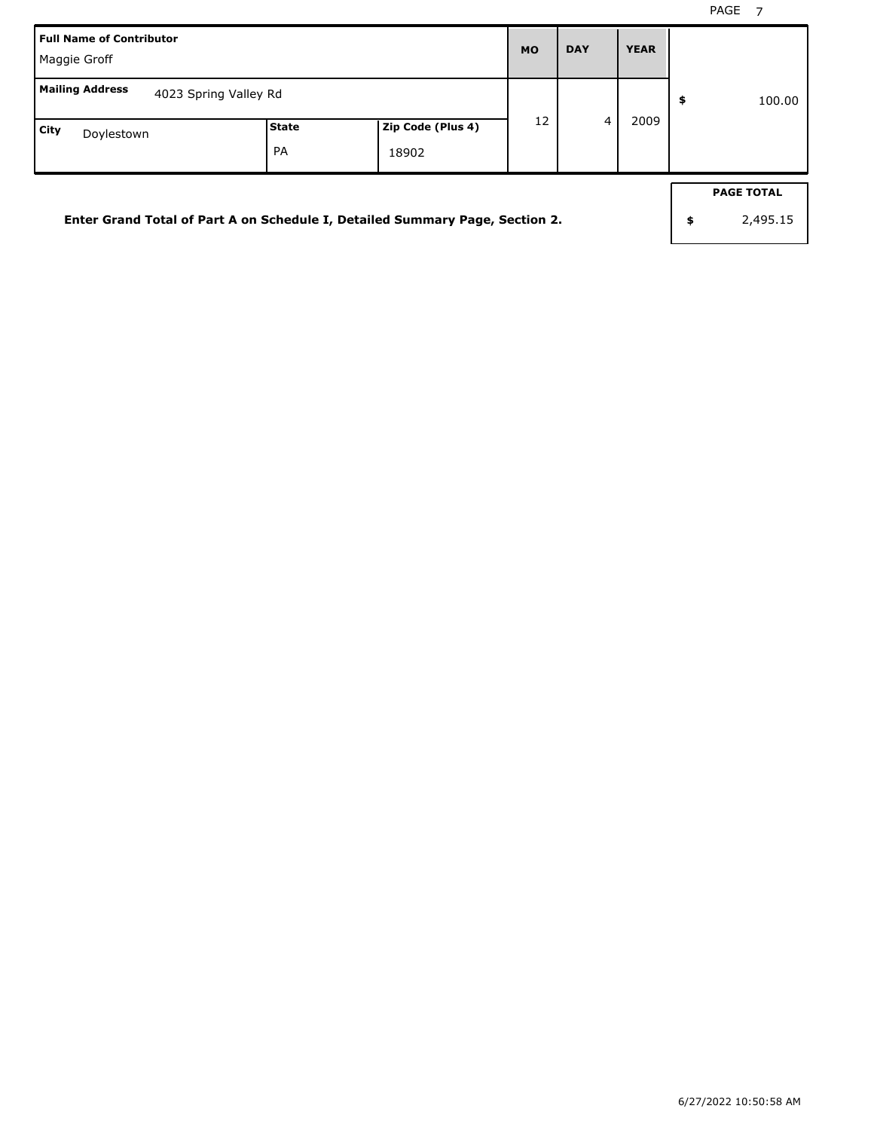| <b>Full Name of Contributor</b><br>Maggie Groff                              |                   |       |                |      |        |    |                   |
|------------------------------------------------------------------------------|-------------------|-------|----------------|------|--------|----|-------------------|
| <b>Mailing Address</b><br>4023 Spring Valley Rd                              |                   |       |                | \$   | 100.00 |    |                   |
| City<br>Doylestown                                                           | Zip Code (Plus 4) | 12    | $\overline{a}$ | 2009 |        |    |                   |
|                                                                              | <b>PA</b>         | 18902 |                |      |        |    |                   |
|                                                                              |                   |       |                |      |        |    | <b>PAGE TOTAL</b> |
| Enter Grand Total of Part A on Schedule I, Detailed Summary Page, Section 2. |                   |       |                |      |        | \$ | 2,495.15          |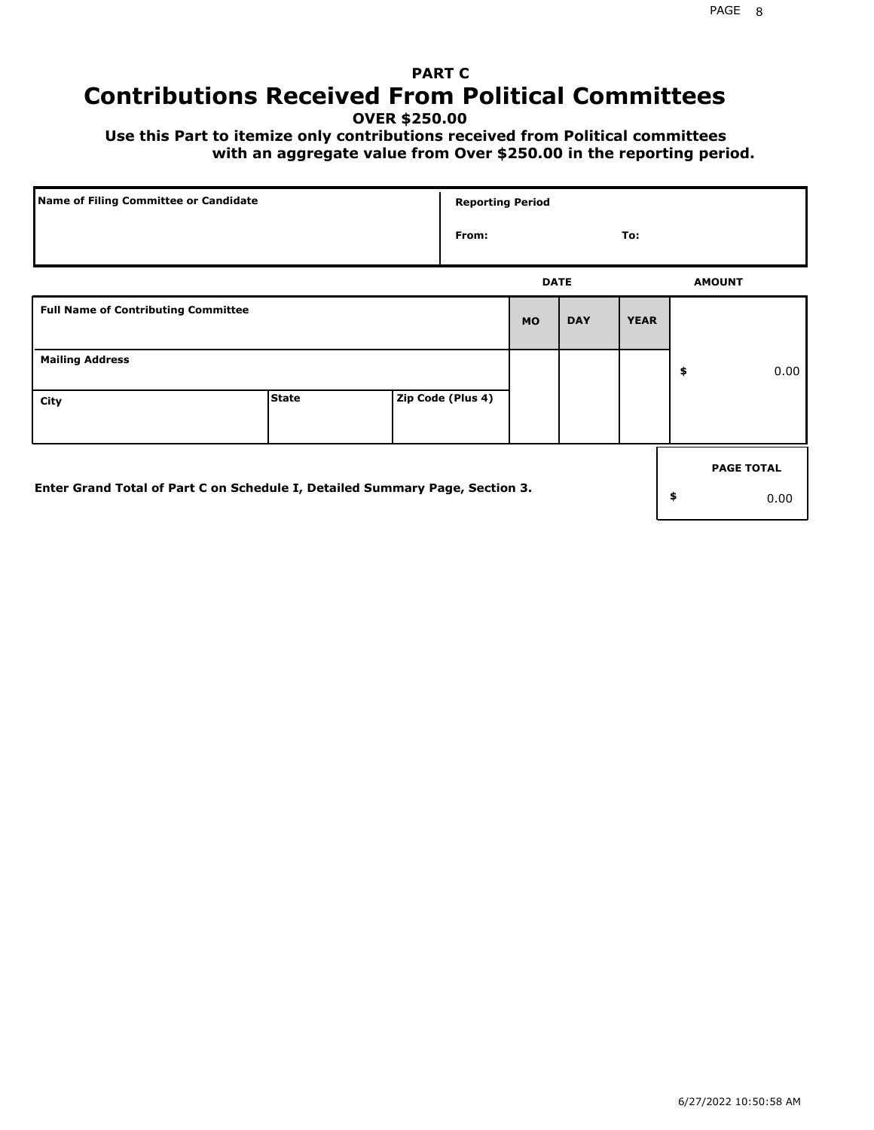## **PART C Contributions Received From Political Committees**

**OVER \$250.00**

 **Use this Part to itemize only contributions received from Political committees with an aggregate value from Over \$250.00 in the reporting period.**

| Name of Filing Committee or Candidate                                        |              | <b>Reporting Period</b> |           |             |             |                   |
|------------------------------------------------------------------------------|--------------|-------------------------|-----------|-------------|-------------|-------------------|
|                                                                              |              | From:                   |           |             | To:         |                   |
|                                                                              |              |                         |           | <b>DATE</b> |             | <b>AMOUNT</b>     |
| <b>Full Name of Contributing Committee</b>                                   |              |                         | <b>MO</b> | <b>DAY</b>  | <b>YEAR</b> |                   |
| <b>Mailing Address</b>                                                       |              |                         |           |             |             | \$<br>0.00        |
| City                                                                         | <b>State</b> | Zip Code (Plus 4)       |           |             |             |                   |
|                                                                              |              |                         |           |             |             | <b>PAGE TOTAL</b> |
| Enter Grand Total of Part C on Schedule I, Detailed Summary Page, Section 3. |              |                         |           |             |             | \$<br>0.00        |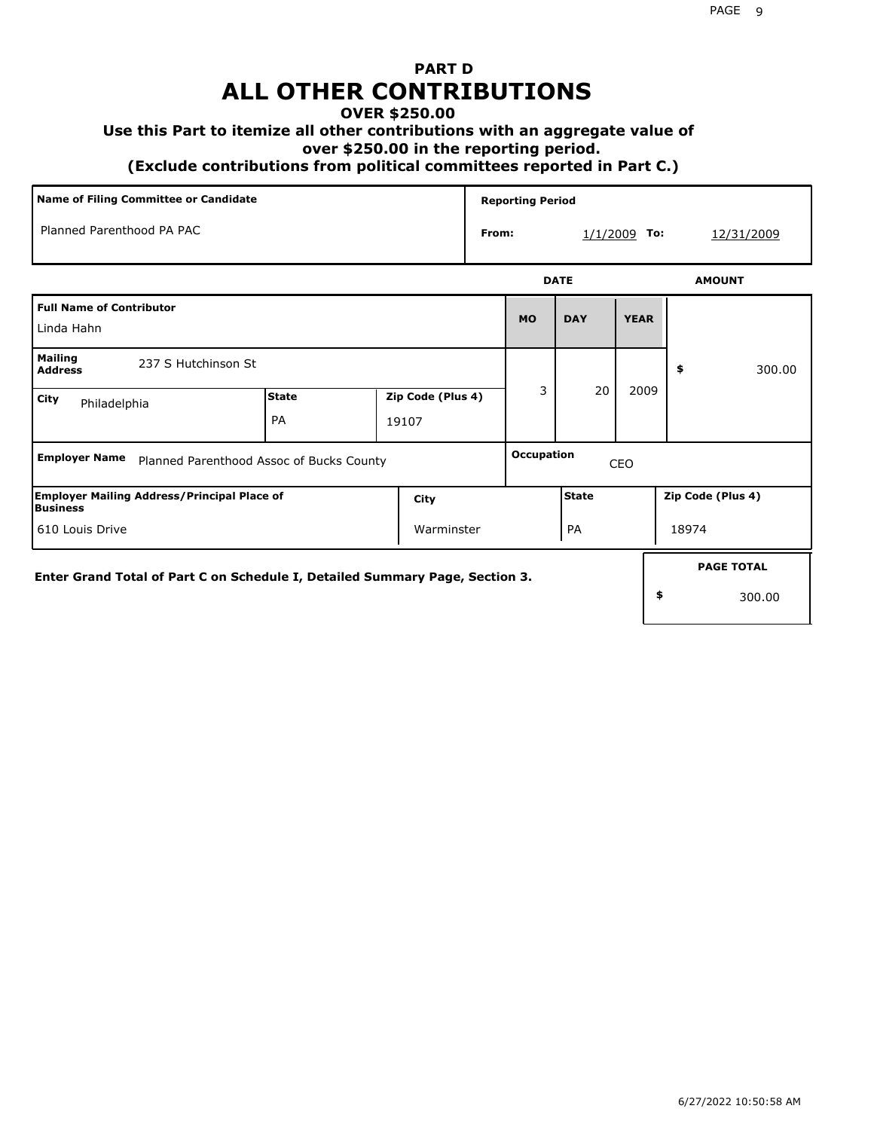# **PART D ALL OTHER CONTRIBUTIONS**

#### **OVER \$250.00**

#### **Use this Part to itemize all other contributions with an aggregate value of**

 **over \$250.00 in the reporting period.**

 **(Exclude contributions from political committees reported in Part C.)** 

| Name of Filing Committee or Candidate                                        |                    |                            |       | <b>Reporting Period</b>  |              |                |                   |  |
|------------------------------------------------------------------------------|--------------------|----------------------------|-------|--------------------------|--------------|----------------|-------------------|--|
| Planned Parenthood PA PAC                                                    |                    |                            | From: |                          |              | $1/1/2009$ To: | 12/31/2009        |  |
|                                                                              |                    |                            |       |                          | <b>DATE</b>  |                | <b>AMOUNT</b>     |  |
| <b>Full Name of Contributor</b><br>Linda Hahn                                |                    |                            |       |                          | <b>DAY</b>   | <b>YEAR</b>    |                   |  |
| <b>Mailing</b><br>237 S Hutchinson St<br><b>Address</b>                      |                    |                            |       |                          |              |                | 300.00<br>\$      |  |
| City<br>Philadelphia                                                         | <b>State</b><br>PA | Zip Code (Plus 4)<br>19107 |       | 3                        | 20           |                | 2009              |  |
| <b>Employer Name</b><br>Planned Parenthood Assoc of Bucks County             |                    |                            |       | <b>Occupation</b><br>CEO |              |                |                   |  |
| <b>Employer Mailing Address/Principal Place of</b><br>Business               |                    | City                       |       |                          | <b>State</b> |                | Zip Code (Plus 4) |  |
| 610 Louis Drive                                                              | Warminster         |                            |       |                          |              |                | 18974             |  |
| Enter Grand Total of Part C on Schedule I, Detailed Summary Page, Section 3. |                    |                            |       |                          |              |                | <b>PAGE TOTAL</b> |  |
|                                                                              |                    |                            |       |                          |              |                | \$<br>300.00      |  |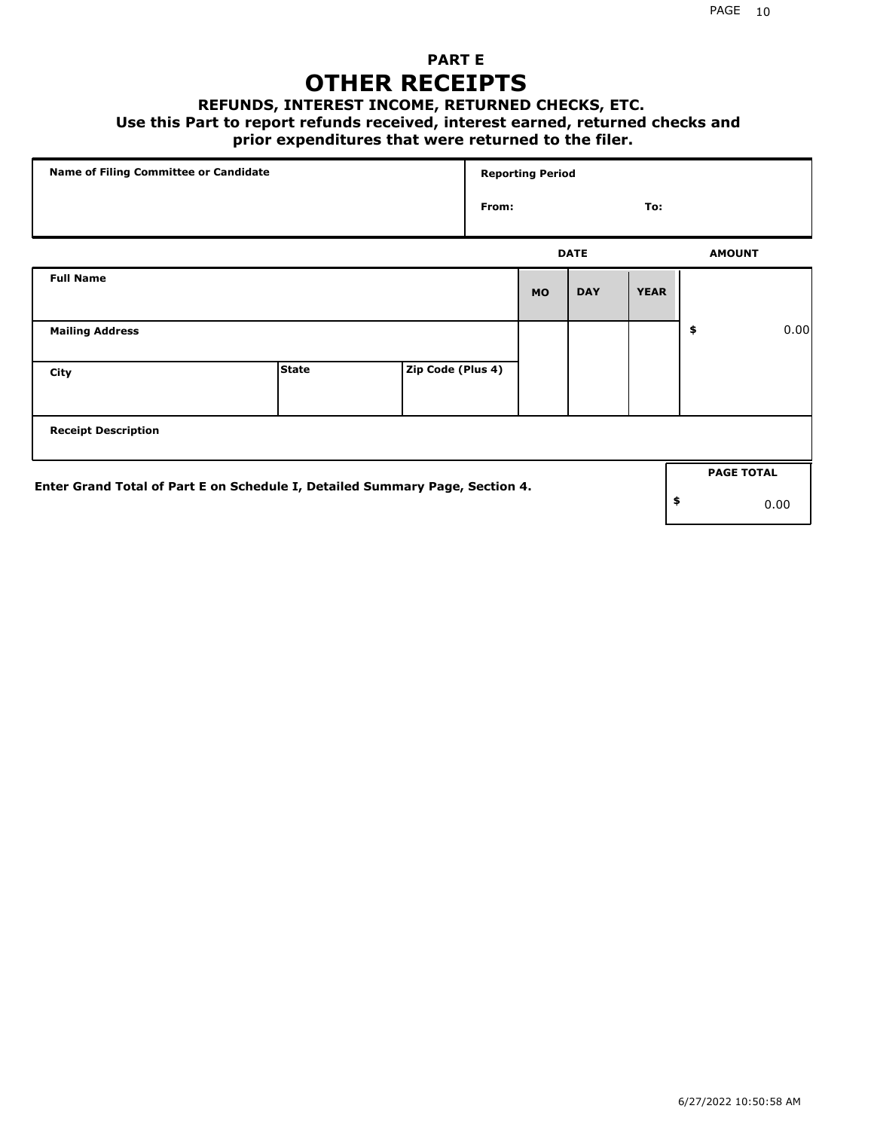### **PART E OTHER RECEIPTS**

#### **REFUNDS, INTEREST INCOME, RETURNED CHECKS, ETC.**

#### **Use this Part to report refunds received, interest earned, returned checks and**

### **prior expenditures that were returned to the filer.**

| Name of Filing Committee or Candidate                                        |              |                   |       | <b>Reporting Period</b> |             |             |    |                   |      |
|------------------------------------------------------------------------------|--------------|-------------------|-------|-------------------------|-------------|-------------|----|-------------------|------|
|                                                                              |              |                   | From: |                         |             | To:         |    |                   |      |
|                                                                              |              |                   |       |                         | <b>DATE</b> |             |    | <b>AMOUNT</b>     |      |
| <b>Full Name</b>                                                             |              |                   |       | <b>MO</b>               | <b>DAY</b>  | <b>YEAR</b> |    |                   |      |
| <b>Mailing Address</b>                                                       |              |                   |       |                         |             |             | \$ |                   | 0.00 |
| City                                                                         | <b>State</b> | Zip Code (Plus 4) |       |                         |             |             |    |                   |      |
| <b>Receipt Description</b>                                                   |              |                   |       |                         |             |             |    |                   |      |
| Enter Grand Total of Part E on Schedule I, Detailed Summary Page, Section 4. |              |                   |       |                         |             |             |    | <b>PAGE TOTAL</b> |      |
|                                                                              |              |                   |       |                         |             |             | \$ |                   | 0.00 |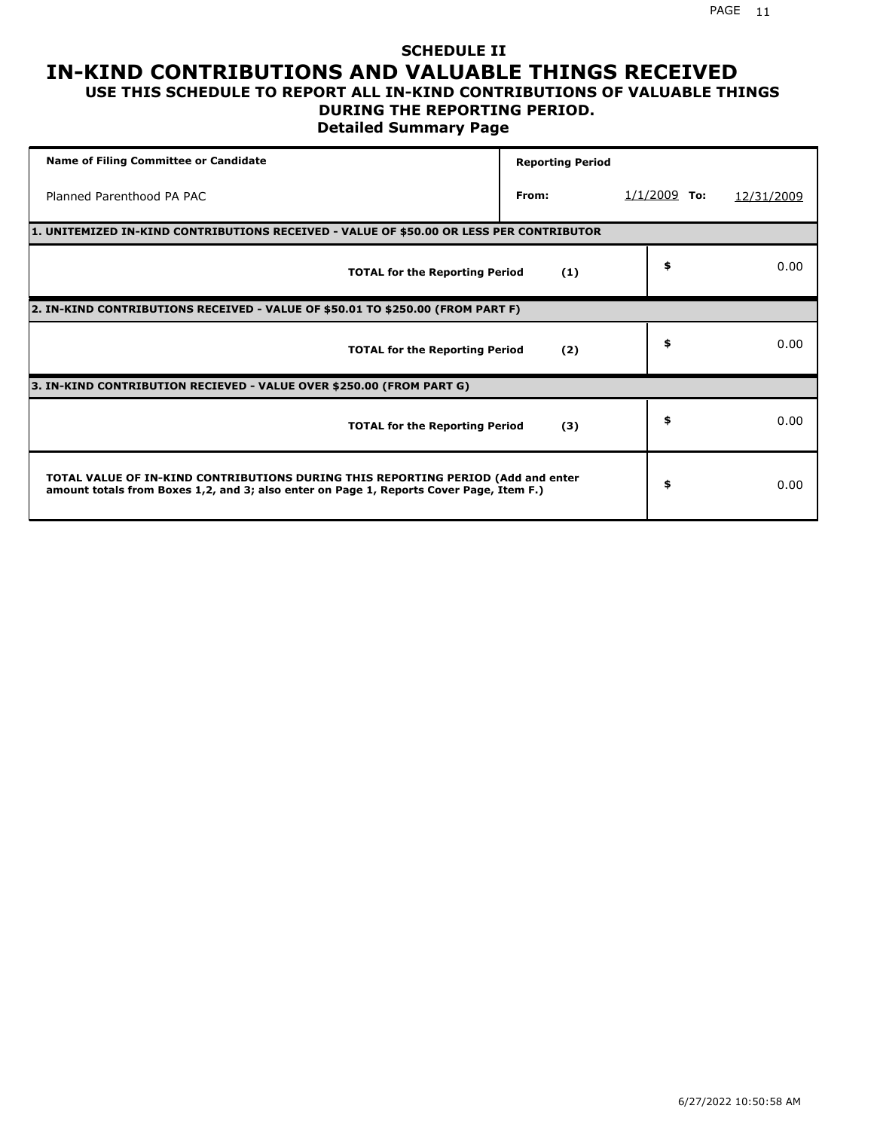## **SCHEDULE II IN-KIND CONTRIBUTIONS AND VALUABLE THINGS RECEIVED**

#### **USE THIS SCHEDULE TO REPORT ALL IN-KIND CONTRIBUTIONS OF VALUABLE THINGS DURING THE REPORTING PERIOD.**

**Detailed Summary Page**

| <b>Name of Filing Committee or Candidate</b>                                                                                                                                | <b>Reporting Period</b> |                |            |  |  |  |  |  |
|-----------------------------------------------------------------------------------------------------------------------------------------------------------------------------|-------------------------|----------------|------------|--|--|--|--|--|
| Planned Parenthood PA PAC                                                                                                                                                   | From:                   | $1/1/2009$ To: | 12/31/2009 |  |  |  |  |  |
| 1. UNITEMIZED IN-KIND CONTRIBUTIONS RECEIVED - VALUE OF \$50.00 OR LESS PER CONTRIBUTOR                                                                                     |                         |                |            |  |  |  |  |  |
| <b>TOTAL for the Reporting Period</b>                                                                                                                                       | (1)                     | \$             | 0.00       |  |  |  |  |  |
| 2. IN-KIND CONTRIBUTIONS RECEIVED - VALUE OF \$50.01 TO \$250.00 (FROM PART F)                                                                                              |                         |                |            |  |  |  |  |  |
| <b>TOTAL for the Reporting Period</b>                                                                                                                                       | (2)                     | \$             | 0.00       |  |  |  |  |  |
| 3. IN-KIND CONTRIBUTION RECIEVED - VALUE OVER \$250.00 (FROM PART G)                                                                                                        |                         |                |            |  |  |  |  |  |
| <b>TOTAL for the Reporting Period</b>                                                                                                                                       | (3)                     | \$             | 0.00       |  |  |  |  |  |
| TOTAL VALUE OF IN-KIND CONTRIBUTIONS DURING THIS REPORTING PERIOD (Add and enter<br>amount totals from Boxes 1,2, and 3; also enter on Page 1, Reports Cover Page, Item F.) |                         | \$             | 0.00       |  |  |  |  |  |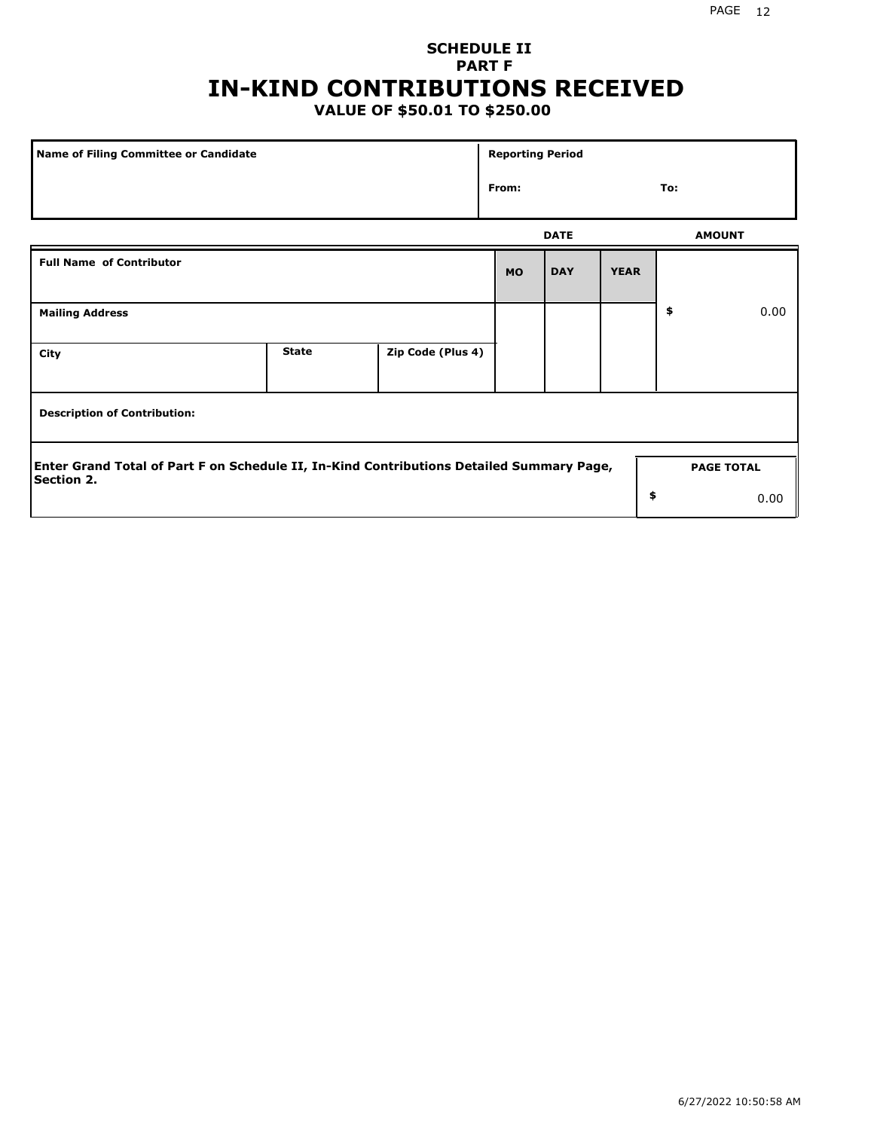## **SCHEDULE II PART F IN-KIND CONTRIBUTIONS RECEIVED**

### **VALUE OF \$50.01 TO \$250.00**

| Name of Filing Committee or Candidate                                                                         |              |                   | <b>Reporting Period</b> |             |             |               |                   |
|---------------------------------------------------------------------------------------------------------------|--------------|-------------------|-------------------------|-------------|-------------|---------------|-------------------|
|                                                                                                               |              |                   | From:                   |             |             | To:           |                   |
|                                                                                                               |              |                   |                         | <b>DATE</b> |             | <b>AMOUNT</b> |                   |
| <b>Full Name of Contributor</b>                                                                               |              |                   | <b>MO</b>               | <b>DAY</b>  | <b>YEAR</b> |               |                   |
| <b>Mailing Address</b>                                                                                        |              |                   |                         |             |             | \$            | 0.00              |
| City                                                                                                          | <b>State</b> | Zip Code (Plus 4) |                         |             |             |               |                   |
| <b>Description of Contribution:</b>                                                                           |              |                   |                         |             |             |               |                   |
| Enter Grand Total of Part F on Schedule II, In-Kind Contributions Detailed Summary Page,<br><b>Section 2.</b> |              |                   |                         |             |             |               | <b>PAGE TOTAL</b> |
|                                                                                                               |              |                   |                         |             | \$          |               | 0.00              |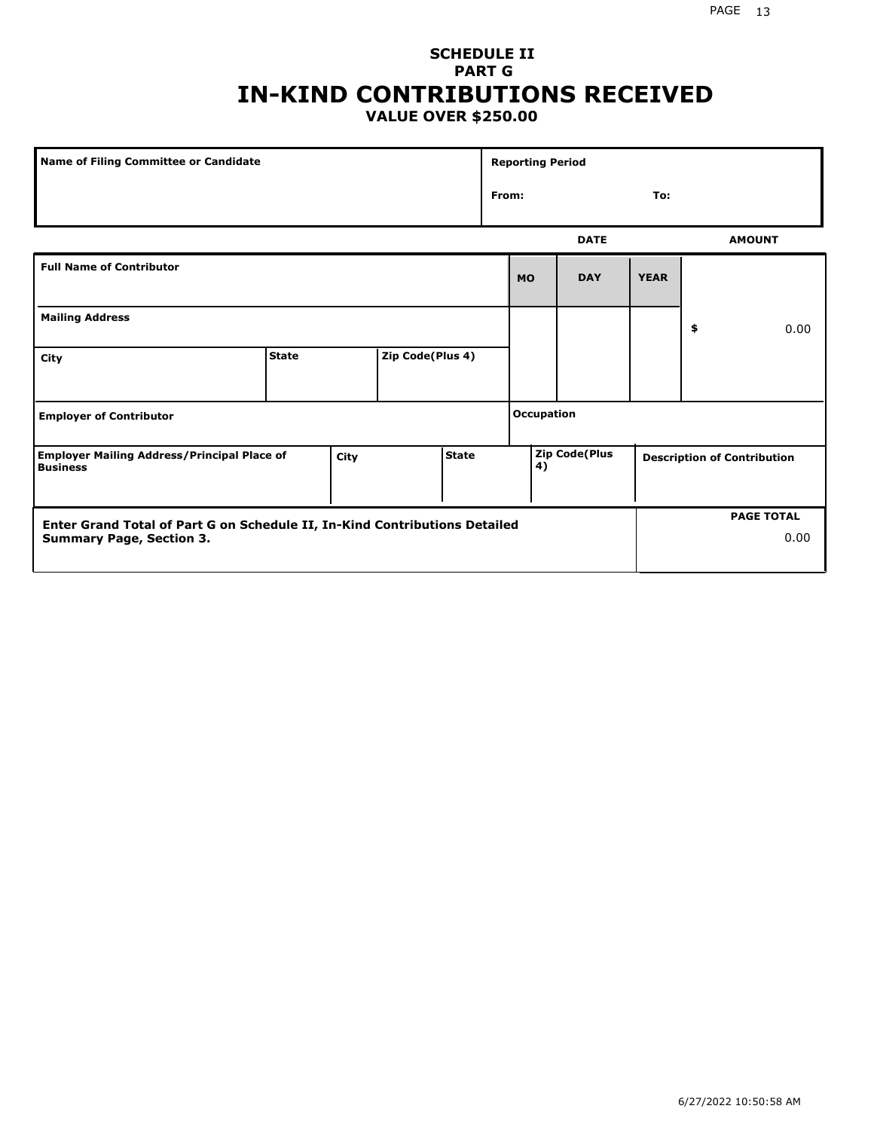### **SCHEDULE II PART G IN-KIND CONTRIBUTIONS RECEIVED VALUE OVER \$250.00**

| <b>Name of Filing Committee or Candidate</b>                                                  |  |  |  |    | <b>Reporting Period</b> |             |             |                                    |               |
|-----------------------------------------------------------------------------------------------|--|--|--|----|-------------------------|-------------|-------------|------------------------------------|---------------|
|                                                                                               |  |  |  |    | From:<br>To:            |             |             |                                    |               |
|                                                                                               |  |  |  |    |                         | <b>DATE</b> |             |                                    | <b>AMOUNT</b> |
| <b>Full Name of Contributor</b>                                                               |  |  |  |    | <b>MO</b>               | <b>DAY</b>  | <b>YEAR</b> |                                    |               |
| <b>Mailing Address</b>                                                                        |  |  |  |    |                         |             |             | \$                                 | 0.00          |
| Zip Code(Plus 4)<br><b>State</b><br>City                                                      |  |  |  |    |                         |             |             |                                    |               |
| <b>Employer of Contributor</b>                                                                |  |  |  |    | <b>Occupation</b>       |             |             |                                    |               |
| <b>State</b><br><b>Employer Mailing Address/Principal Place of</b><br>City<br><b>Business</b> |  |  |  | 4) | <b>Zip Code(Plus</b>    |             |             | <b>Description of Contribution</b> |               |

| <b>Enter Grand Total of Part G on Schedule II, In-Kind Contributions Detailed</b> |  | <b>PAGE TOTAL</b> |
|-----------------------------------------------------------------------------------|--|-------------------|
| <b>Summary Page, Section 3.</b>                                                   |  | 0.00              |
|                                                                                   |  |                   |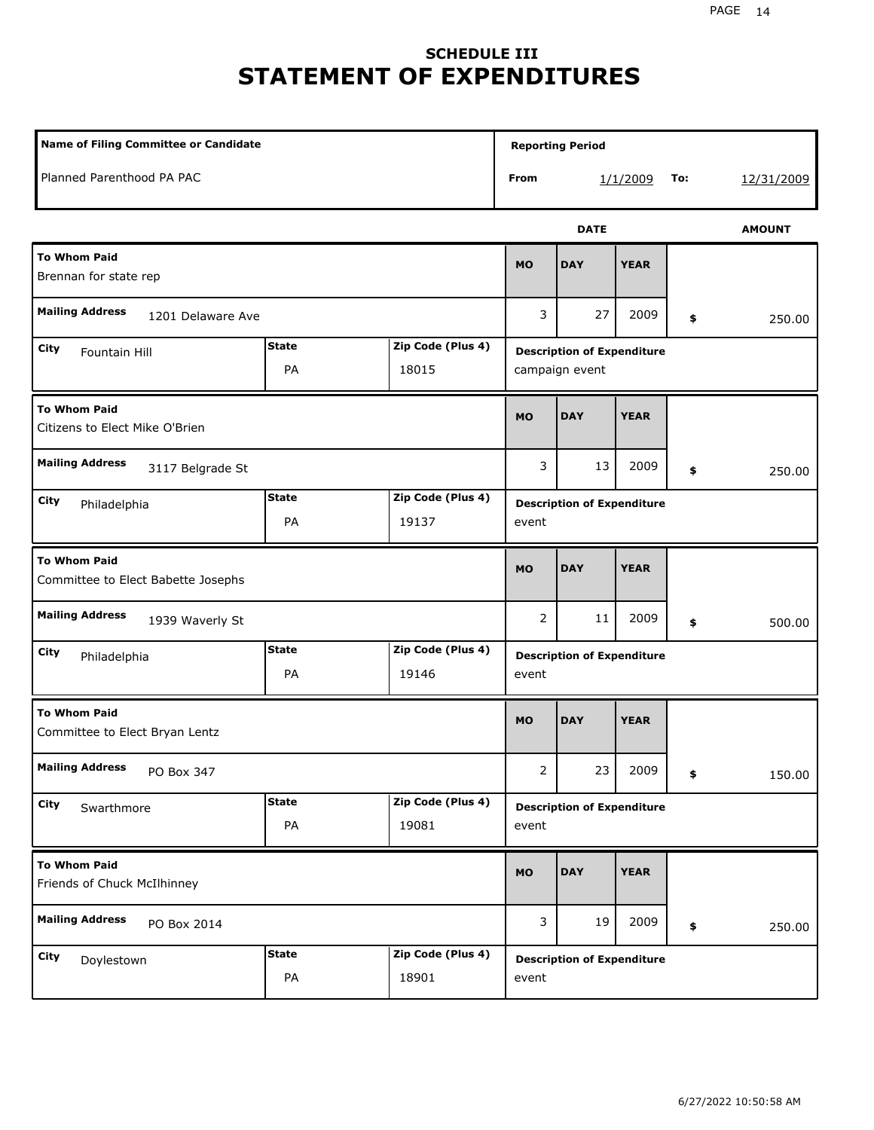## **SCHEDULE III STATEMENT OF EXPENDITURES**

| Name of Filing Committee or Candidate                                     |                    |                            |                                                     | <b>Reporting Period</b>           |             |    |        |  |
|---------------------------------------------------------------------------|--------------------|----------------------------|-----------------------------------------------------|-----------------------------------|-------------|----|--------|--|
| Planned Parenthood PA PAC                                                 |                    |                            | From                                                | To:<br>1/1/2009<br>12/31/2009     |             |    |        |  |
|                                                                           |                    |                            |                                                     | <b>AMOUNT</b>                     |             |    |        |  |
| <b>To Whom Paid</b><br>Brennan for state rep                              |                    |                            |                                                     | <b>DAY</b>                        | <b>YEAR</b> |    |        |  |
| <b>Mailing Address</b><br>1201 Delaware Ave                               |                    |                            | 3                                                   | 27                                | 2009        | \$ | 250.00 |  |
| <b>State</b><br>Zip Code (Plus 4)<br>City<br>Fountain Hill<br>PA<br>18015 |                    |                            | <b>Description of Expenditure</b><br>campaign event |                                   |             |    |        |  |
| <b>To Whom Paid</b><br>Citizens to Elect Mike O'Brien                     |                    |                            | <b>MO</b>                                           | <b>DAY</b>                        | <b>YEAR</b> |    |        |  |
| <b>Mailing Address</b><br>3117 Belgrade St                                |                    |                            |                                                     | 13                                | 2009        | \$ | 250.00 |  |
| <b>State</b><br>Zip Code (Plus 4)<br>City<br>Philadelphia<br>PA<br>19137  |                    |                            | event                                               | <b>Description of Expenditure</b> |             |    |        |  |
| <b>To Whom Paid</b><br>Committee to Elect Babette Josephs                 |                    |                            | <b>MO</b>                                           | <b>DAY</b>                        | <b>YEAR</b> |    |        |  |
| <b>Mailing Address</b><br>1939 Waverly St                                 |                    |                            | 2                                                   | 11                                | 2009        | \$ | 500.00 |  |
| <b>City</b><br>Philadelphia                                               | <b>State</b><br>PA | Zip Code (Plus 4)<br>19146 | event                                               | <b>Description of Expenditure</b> |             |    |        |  |
| <b>To Whom Paid</b><br>Committee to Elect Bryan Lentz                     |                    |                            | <b>MO</b>                                           | <b>DAY</b>                        | <b>YEAR</b> |    |        |  |
| <b>Mailing Address</b><br>PO Box 347                                      |                    |                            | $\overline{2}$                                      | 23                                | 2009        | \$ | 150.00 |  |
| <b>State</b><br>Zip Code (Plus 4)<br>City<br>Swarthmore<br>PA<br>19081    |                    |                            | event                                               | <b>Description of Expenditure</b> |             |    |        |  |
| <b>To Whom Paid</b><br>Friends of Chuck McIlhinney                        |                    |                            | <b>MO</b>                                           | <b>DAY</b>                        | <b>YEAR</b> |    |        |  |
| <b>Mailing Address</b><br>PO Box 2014                                     |                    |                            | 3                                                   | 19                                | 2009        | \$ | 250.00 |  |
| City<br>Doylestown                                                        | <b>State</b><br>PA | Zip Code (Plus 4)<br>18901 | event                                               | <b>Description of Expenditure</b> |             |    |        |  |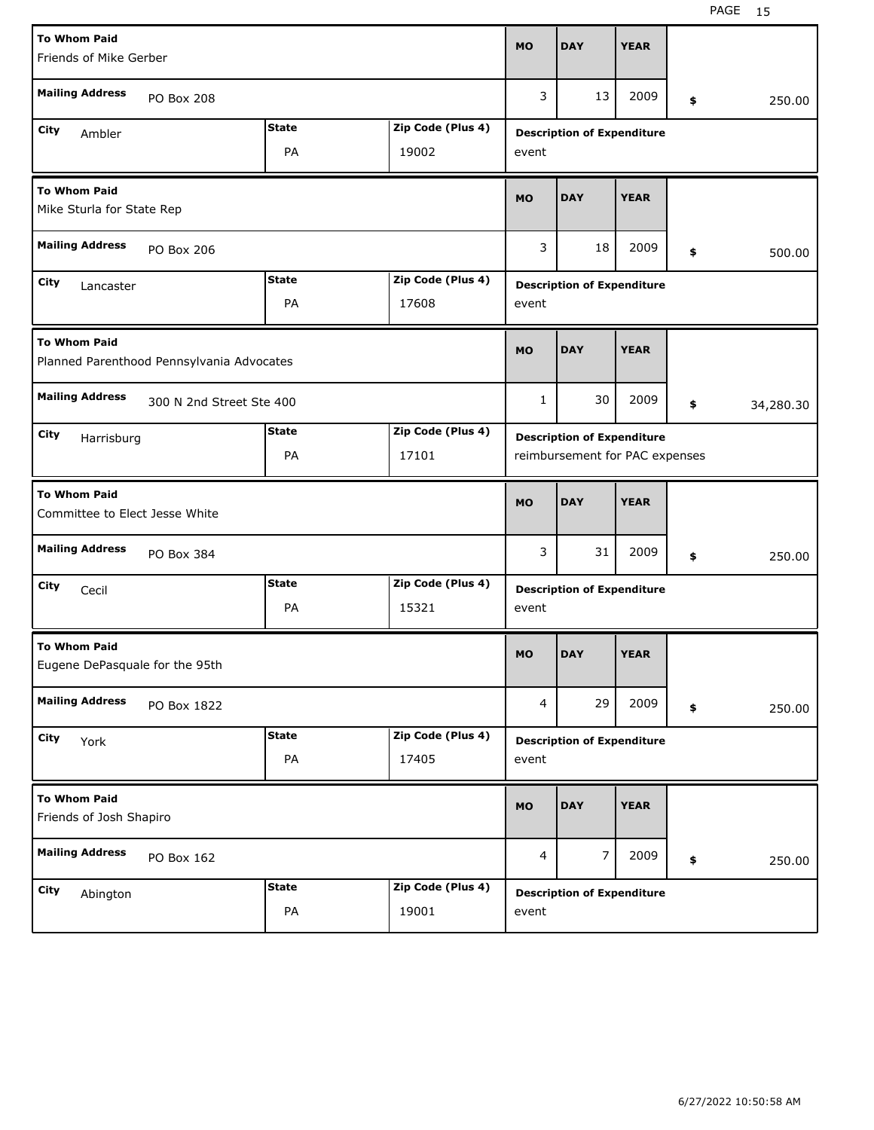| <b>To Whom Paid</b>                                     |                                           |                               |                   |                                   |                                   | <b>YEAR</b> |    |           |  |
|---------------------------------------------------------|-------------------------------------------|-------------------------------|-------------------|-----------------------------------|-----------------------------------|-------------|----|-----------|--|
| Friends of Mike Gerber                                  |                                           |                               |                   |                                   |                                   |             |    |           |  |
| <b>Mailing Address</b>                                  | PO Box 208                                |                               |                   | 3                                 | 13                                | 2009        | \$ | 250.00    |  |
| City<br>Ambler                                          |                                           | <b>State</b>                  | Zip Code (Plus 4) | <b>Description of Expenditure</b> |                                   |             |    |           |  |
| PA<br>19002                                             |                                           |                               |                   | event                             |                                   |             |    |           |  |
| <b>To Whom Paid</b><br>Mike Sturla for State Rep        |                                           |                               |                   |                                   | <b>DAY</b>                        | <b>YEAR</b> |    |           |  |
| <b>Mailing Address</b><br>PO Box 206                    |                                           |                               |                   | 3                                 | 18                                | 2009        | \$ | 500.00    |  |
| <b>State</b><br>Zip Code (Plus 4)<br>City<br>Lancaster  |                                           |                               |                   |                                   | <b>Description of Expenditure</b> |             |    |           |  |
|                                                         |                                           | PA                            | 17608             | event                             |                                   |             |    |           |  |
| <b>To Whom Paid</b>                                     | Planned Parenthood Pennsylvania Advocates |                               |                   | <b>MO</b>                         | <b>DAY</b>                        | <b>YEAR</b> |    |           |  |
| <b>Mailing Address</b>                                  | 300 N 2nd Street Ste 400                  |                               |                   |                                   |                                   | 2009        | \$ | 34,280.30 |  |
| <b>State</b><br>Zip Code (Plus 4)<br>City<br>Harrisburg |                                           |                               |                   | <b>Description of Expenditure</b> |                                   |             |    |           |  |
|                                                         |                                           | PA                            | 17101             |                                   | reimbursement for PAC expenses    |             |    |           |  |
| <b>To Whom Paid</b><br>Committee to Elect Jesse White   |                                           |                               |                   |                                   |                                   |             |    |           |  |
|                                                         |                                           |                               |                   | <b>MO</b>                         | <b>DAY</b>                        | <b>YEAR</b> |    |           |  |
| <b>Mailing Address</b>                                  | PO Box 384                                |                               |                   | 3                                 | 31                                | 2009        | \$ | 250.00    |  |
| City<br>Cecil                                           |                                           | <b>State</b>                  | Zip Code (Plus 4) |                                   | <b>Description of Expenditure</b> |             |    |           |  |
|                                                         |                                           | PA                            | 15321             | event                             |                                   |             |    |           |  |
| <b>To Whom Paid</b><br>Eugene DePasquale for the 95th   |                                           |                               |                   | <b>MO</b>                         | <b>DAY</b>                        | <b>YEAR</b> |    |           |  |
| <b>Mailing Address</b>                                  | PO Box 1822                               |                               |                   | 4                                 | 29                                | 2009        | \$ | 250.00    |  |
| City<br>York                                            |                                           | <b>State</b>                  | Zip Code (Plus 4) |                                   | <b>Description of Expenditure</b> |             |    |           |  |
|                                                         |                                           | PA                            | 17405             | event                             |                                   |             |    |           |  |
| <b>To Whom Paid</b><br>Friends of Josh Shapiro          |                                           |                               |                   | <b>MO</b>                         | <b>DAY</b>                        | <b>YEAR</b> |    |           |  |
| <b>Mailing Address</b>                                  | PO Box 162                                |                               |                   | 4                                 | 7                                 | 2009        | \$ | 250.00    |  |
| City<br>Abington                                        |                                           | <b>State</b><br>$\mathsf{PA}$ | Zip Code (Plus 4) |                                   | <b>Description of Expenditure</b> |             |    |           |  |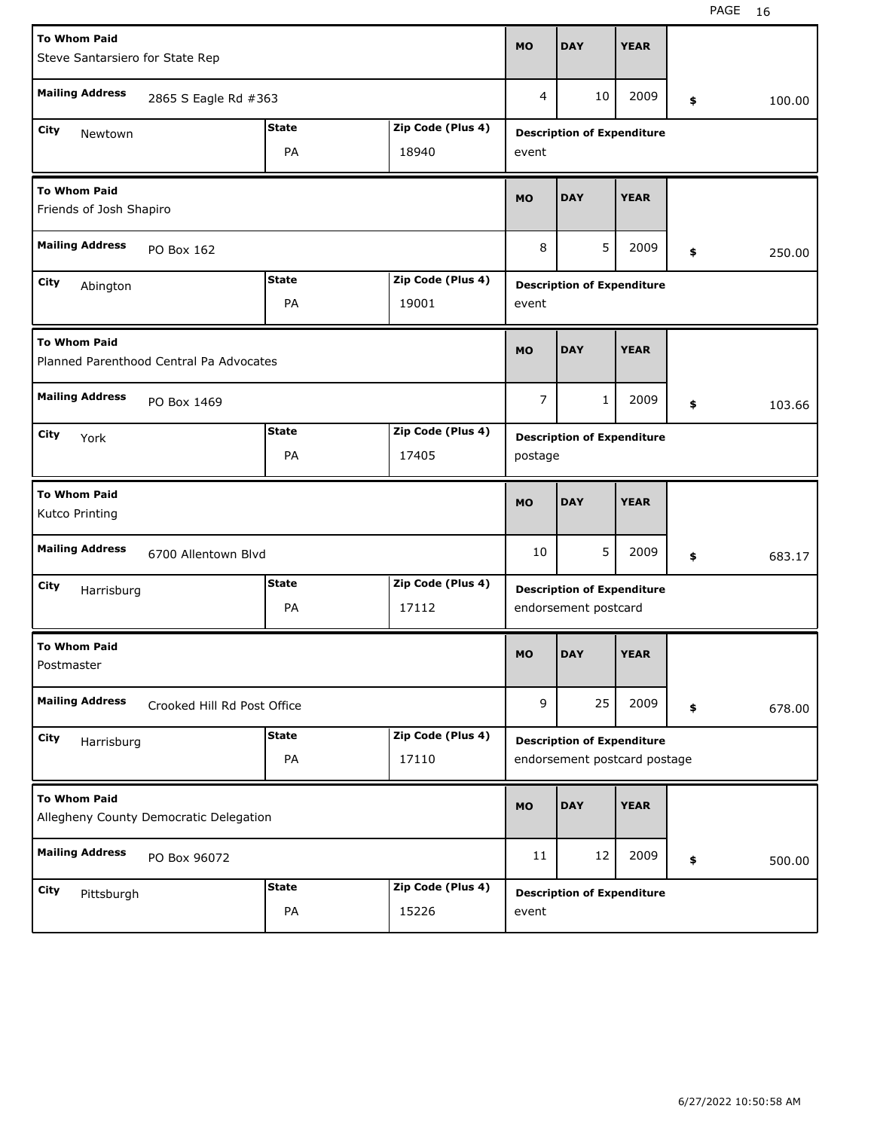| <b>To Whom Paid</b><br>Steve Santarsiero for State Rep         | <b>MO</b>                   | <b>DAY</b>        | <b>YEAR</b>                       |                                   |             |    |        |  |  |
|----------------------------------------------------------------|-----------------------------|-------------------|-----------------------------------|-----------------------------------|-------------|----|--------|--|--|
|                                                                |                             |                   |                                   |                                   |             |    |        |  |  |
| <b>Mailing Address</b>                                         | 2865 S Eagle Rd #363        |                   | 4                                 | 10                                | 2009        | \$ | 100.00 |  |  |
| City<br>Newtown                                                | <b>State</b>                | Zip Code (Plus 4) | <b>Description of Expenditure</b> |                                   |             |    |        |  |  |
|                                                                | PA                          | 18940             | event                             |                                   |             |    |        |  |  |
| <b>To Whom Paid</b><br>Friends of Josh Shapiro                 | <b>MO</b>                   | <b>DAY</b>        | <b>YEAR</b>                       |                                   |             |    |        |  |  |
| <b>Mailing Address</b><br>PO Box 162                           |                             |                   |                                   | 5                                 | 2009        | \$ | 250.00 |  |  |
| <b>State</b><br>Zip Code (Plus 4)<br>City<br>Abington          |                             |                   |                                   | <b>Description of Expenditure</b> |             |    |        |  |  |
|                                                                | PA                          | 19001             | event                             |                                   |             |    |        |  |  |
| <b>To Whom Paid</b><br>Planned Parenthood Central Pa Advocates |                             |                   | <b>MO</b>                         | <b>DAY</b>                        | <b>YEAR</b> |    |        |  |  |
| <b>Mailing Address</b>                                         | PO Box 1469                 |                   |                                   |                                   | 2009        | \$ | 103.66 |  |  |
| <b>State</b><br>Zip Code (Plus 4)<br>City<br>York              |                             |                   |                                   | <b>Description of Expenditure</b> |             |    |        |  |  |
|                                                                | PA                          | 17405             | postage                           |                                   |             |    |        |  |  |
|                                                                |                             |                   |                                   |                                   |             |    |        |  |  |
| <b>To Whom Paid</b><br>Kutco Printing                          |                             |                   | <b>MO</b>                         | <b>DAY</b>                        | <b>YEAR</b> |    |        |  |  |
| <b>Mailing Address</b>                                         | 6700 Allentown Blvd         |                   | 10                                | 5                                 | 2009        | \$ | 683.17 |  |  |
| City<br>Harrisburg                                             | <b>State</b>                | Zip Code (Plus 4) |                                   | <b>Description of Expenditure</b> |             |    |        |  |  |
|                                                                | PA                          | 17112             |                                   | endorsement postcard              |             |    |        |  |  |
| <b>To Whom Paid</b><br>Postmaster                              |                             |                   | <b>MO</b>                         | <b>DAY</b>                        | <b>YEAR</b> |    |        |  |  |
| <b>Mailing Address</b>                                         | Crooked Hill Rd Post Office |                   | 9                                 | 25                                | 2009        | \$ | 678.00 |  |  |
| City<br>Harrisburg                                             | <b>State</b>                | Zip Code (Plus 4) |                                   | <b>Description of Expenditure</b> |             |    |        |  |  |
|                                                                | PA                          | 17110             |                                   | endorsement postcard postage      |             |    |        |  |  |
| <b>To Whom Paid</b><br>Allegheny County Democratic Delegation  |                             |                   | <b>MO</b>                         | <b>DAY</b>                        | <b>YEAR</b> |    |        |  |  |
| <b>Mailing Address</b><br>PO Box 96072                         |                             |                   | 11                                | 12                                | 2009        | \$ | 500.00 |  |  |
| City<br>Pittsburgh                                             | <b>State</b>                | Zip Code (Plus 4) |                                   | <b>Description of Expenditure</b> |             |    |        |  |  |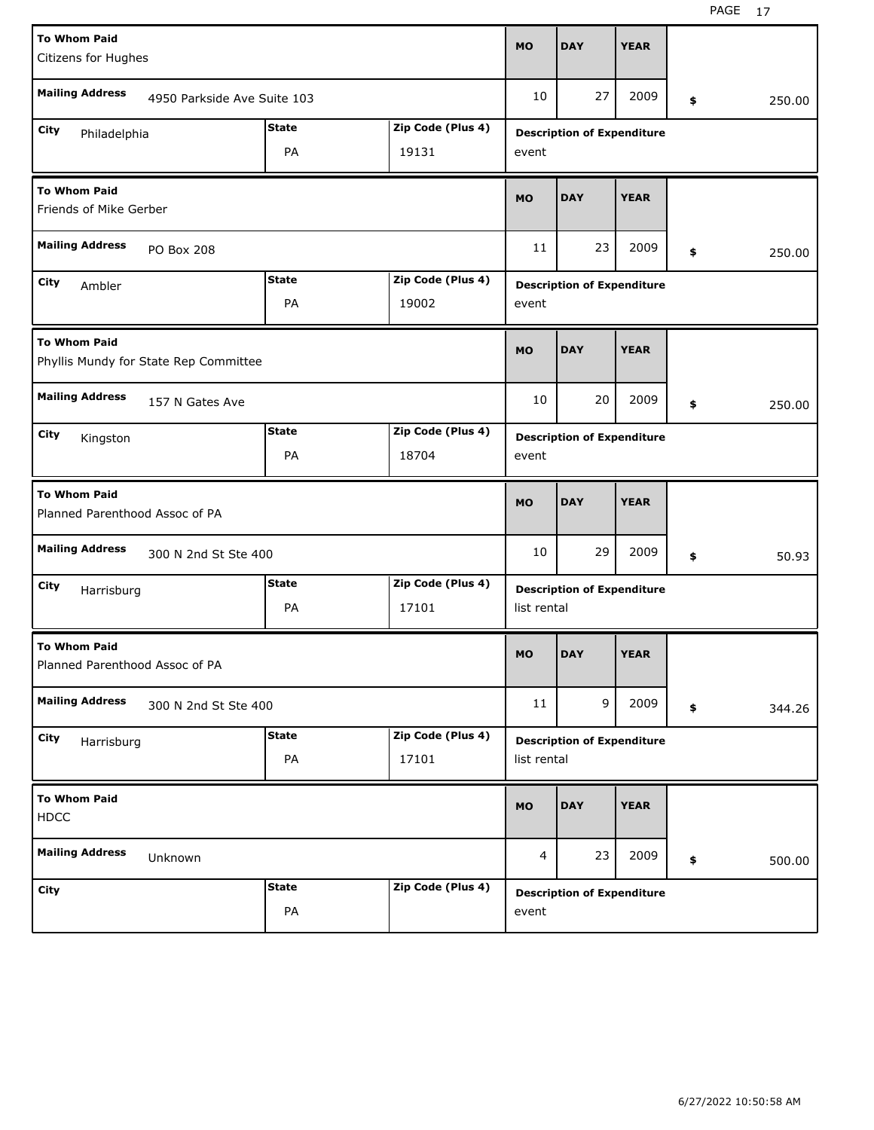| <b>To Whom Paid</b>                                          |                             |              |                   | <b>MO</b>                         | <b>DAY</b>                        | <b>YEAR</b> |    |        |       |
|--------------------------------------------------------------|-----------------------------|--------------|-------------------|-----------------------------------|-----------------------------------|-------------|----|--------|-------|
| Citizens for Hughes                                          |                             |              |                   |                                   |                                   |             |    |        |       |
| <b>Mailing Address</b>                                       | 4950 Parkside Ave Suite 103 |              |                   | 10                                | 27                                | 2009        | \$ | 250.00 |       |
| City<br>Philadelphia                                         |                             | <b>State</b> | Zip Code (Plus 4) | <b>Description of Expenditure</b> |                                   |             |    |        |       |
| PA<br>19131                                                  |                             |              |                   |                                   |                                   |             |    |        |       |
| <b>To Whom Paid</b><br>Friends of Mike Gerber                |                             |              |                   |                                   | <b>DAY</b>                        | <b>YEAR</b> |    |        |       |
| <b>Mailing Address</b>                                       | PO Box 208                  |              |                   | 11                                | 23                                | 2009        | \$ | 250.00 |       |
| City<br>Ambler                                               |                             | <b>State</b> | Zip Code (Plus 4) |                                   | <b>Description of Expenditure</b> |             |    |        |       |
|                                                              |                             | PA           | 19002             | event                             |                                   |             |    |        |       |
| <b>To Whom Paid</b><br>Phyllis Mundy for State Rep Committee |                             |              |                   | <b>MO</b>                         | <b>DAY</b>                        | <b>YEAR</b> |    |        |       |
| <b>Mailing Address</b>                                       | 157 N Gates Ave             |              |                   |                                   |                                   | 2009        | \$ | 250.00 |       |
| <b>State</b><br>Zip Code (Plus 4)<br>City<br>Kingston        |                             |              |                   |                                   | <b>Description of Expenditure</b> |             |    |        |       |
|                                                              |                             | PA           | 18704             | event                             |                                   |             |    |        |       |
|                                                              |                             |              |                   |                                   |                                   |             |    |        |       |
| <b>To Whom Paid</b><br>Planned Parenthood Assoc of PA        |                             |              |                   | <b>MO</b>                         | <b>DAY</b>                        | <b>YEAR</b> |    |        |       |
| <b>Mailing Address</b>                                       | 300 N 2nd St Ste 400        |              |                   | 10                                | 29                                | 2009        | \$ |        | 50.93 |
| City<br>Harrisburg                                           |                             | <b>State</b> | Zip Code (Plus 4) |                                   | <b>Description of Expenditure</b> |             |    |        |       |
|                                                              |                             | PA           | 17101             | list rental                       |                                   |             |    |        |       |
| <b>To Whom Paid</b><br>Planned Parenthood Assoc of PA        |                             |              |                   | <b>MO</b>                         | <b>DAY</b>                        | <b>YEAR</b> |    |        |       |
| <b>Mailing Address</b>                                       | 300 N 2nd St Ste 400        |              |                   | 11                                | 9                                 | 2009        | \$ | 344.26 |       |
| City<br>Harrisburg                                           |                             | <b>State</b> | Zip Code (Plus 4) |                                   | <b>Description of Expenditure</b> |             |    |        |       |
|                                                              |                             | PA           | 17101             | list rental                       |                                   |             |    |        |       |
| <b>To Whom Paid</b><br><b>HDCC</b>                           |                             |              |                   | MO                                | <b>DAY</b>                        | <b>YEAR</b> |    |        |       |
| <b>Mailing Address</b>                                       | Unknown                     |              |                   | 4                                 | 23                                | 2009        | \$ | 500.00 |       |
| City                                                         |                             | <b>State</b> | Zip Code (Plus 4) |                                   | <b>Description of Expenditure</b> |             |    |        |       |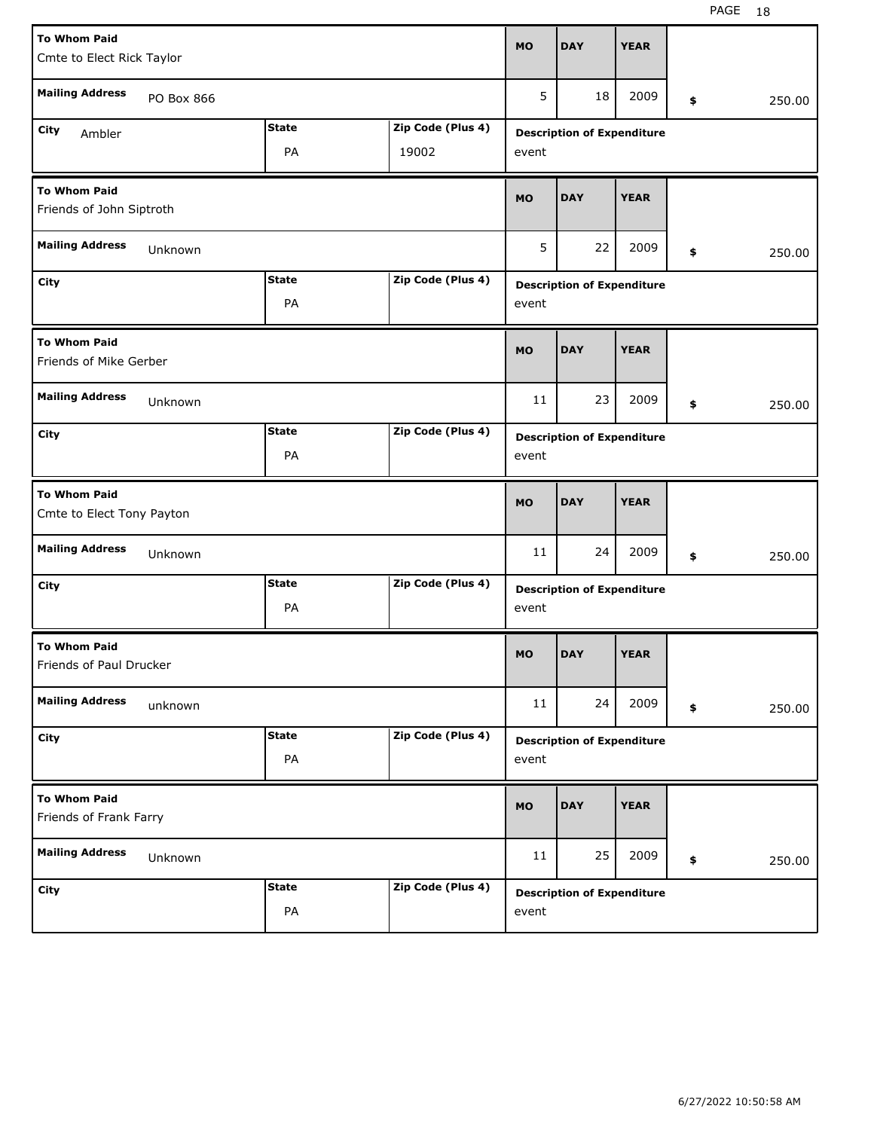| <b>To Whom Paid</b>                              |              |                   |                                   |                                   |             |    |        |  |  |
|--------------------------------------------------|--------------|-------------------|-----------------------------------|-----------------------------------|-------------|----|--------|--|--|
| Cmte to Elect Rick Taylor                        |              |                   | <b>MO</b>                         | <b>DAY</b>                        | <b>YEAR</b> |    |        |  |  |
|                                                  |              |                   |                                   |                                   |             |    |        |  |  |
| <b>Mailing Address</b><br>PO Box 866             |              |                   | 5                                 | 18                                | 2009        | \$ | 250.00 |  |  |
| City<br>Ambler                                   | <b>State</b> | Zip Code (Plus 4) |                                   | <b>Description of Expenditure</b> |             |    |        |  |  |
|                                                  | PA           | 19002             | event                             |                                   |             |    |        |  |  |
| <b>To Whom Paid</b><br>Friends of John Siptroth  | <b>MO</b>    | <b>DAY</b>        | <b>YEAR</b>                       |                                   |             |    |        |  |  |
| <b>Mailing Address</b><br>Unknown                | 5            | 22                | 2009                              | \$                                | 250.00      |    |        |  |  |
| <b>State</b><br>Zip Code (Plus 4)<br>City        |              |                   |                                   | <b>Description of Expenditure</b> |             |    |        |  |  |
|                                                  | PA           |                   | event                             |                                   |             |    |        |  |  |
| <b>To Whom Paid</b><br>Friends of Mike Gerber    |              |                   |                                   | <b>DAY</b>                        | <b>YEAR</b> |    |        |  |  |
| <b>Mailing Address</b><br>Unknown                | 11           | 23                | 2009                              | \$                                | 250.00      |    |        |  |  |
| City                                             | <b>State</b> | Zip Code (Plus 4) | <b>Description of Expenditure</b> |                                   |             |    |        |  |  |
| PA                                               |              |                   |                                   |                                   |             |    |        |  |  |
|                                                  |              |                   |                                   |                                   |             |    |        |  |  |
| <b>To Whom Paid</b><br>Cmte to Elect Tony Payton |              |                   | <b>MO</b>                         | <b>DAY</b>                        | <b>YEAR</b> |    |        |  |  |
| <b>Mailing Address</b><br>Unknown                |              |                   | 11                                | 24                                | 2009        | \$ | 250.00 |  |  |
| City                                             | <b>State</b> | Zip Code (Plus 4) |                                   |                                   |             |    |        |  |  |
|                                                  | PA           |                   | event                             | <b>Description of Expenditure</b> |             |    |        |  |  |
| <b>To Whom Paid</b><br>Friends of Paul Drucker   |              |                   | <b>MO</b>                         | <b>DAY</b>                        | <b>YEAR</b> |    |        |  |  |
| <b>Mailing Address</b><br>unknown                |              |                   | 11                                | 24                                | 2009        | \$ | 250.00 |  |  |
| City                                             | <b>State</b> | Zip Code (Plus 4) |                                   |                                   |             |    |        |  |  |
|                                                  | PA           |                   | event                             | <b>Description of Expenditure</b> |             |    |        |  |  |
| <b>To Whom Paid</b><br>Friends of Frank Farry    |              |                   | <b>MO</b>                         | <b>DAY</b>                        | <b>YEAR</b> |    |        |  |  |
| <b>Mailing Address</b><br>Unknown                |              |                   | 11                                | 25                                | 2009        | \$ | 250.00 |  |  |
| <b>City</b>                                      | <b>State</b> | Zip Code (Plus 4) |                                   | <b>Description of Expenditure</b> |             |    |        |  |  |